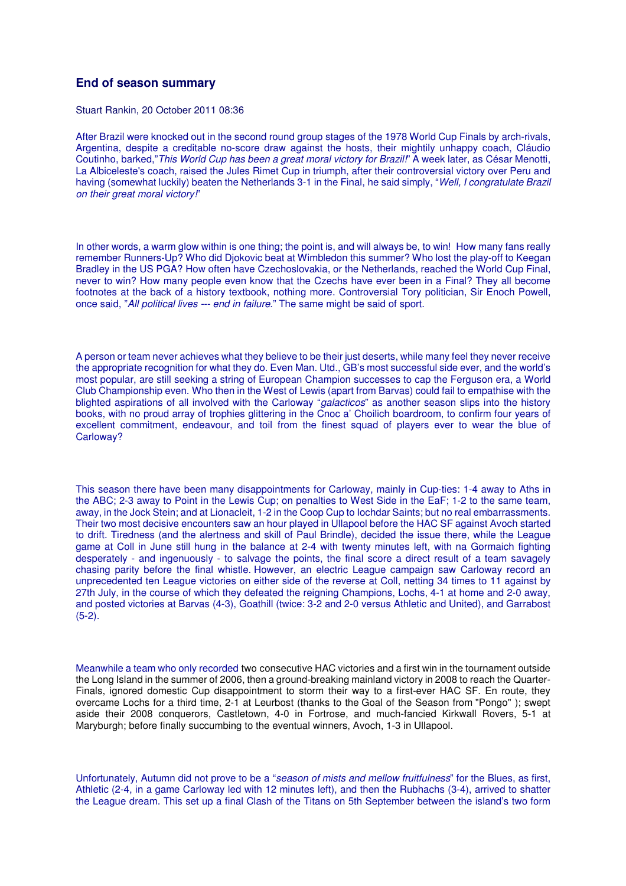## **End of season summary**

Stuart Rankin, 20 October 2011 08:36

After Brazil were knocked out in the second round group stages of the 1978 World Cup Finals by arch-rivals, Argentina, despite a creditable no-score draw against the hosts, their mightily unhappy coach, Cláudio Coutinho, barked," This World Cup has been a great moral victory for Brazil!" A week later, as César Menotti, La Albiceleste's coach, raised the Jules Rimet Cup in triumph, after their controversial victory over Peru and having (somewhat luckily) beaten the Netherlands 3-1 in the Final, he said simply, "Well, I congratulate Brazil on their great moral victory!"

In other words, a warm glow within is one thing; the point is, and will always be, to win! How many fans really remember Runners-Up? Who did Djokovic beat at Wimbledon this summer? Who lost the play-off to Keegan Bradley in the US PGA? How often have Czechoslovakia, or the Netherlands, reached the World Cup Final, never to win? How many people even know that the Czechs have ever been in a Final? They all become footnotes at the back of a history textbook, nothing more. Controversial Tory politician, Sir Enoch Powell, once said, "All political lives --- end in failure." The same might be said of sport.

A person or team never achieves what they believe to be their just deserts, while many feel they never receive the appropriate recognition for what they do. Even Man. Utd., GB's most successful side ever, and the world's most popular, are still seeking a string of European Champion successes to cap the Ferguson era, a World Club Championship even. Who then in the West of Lewis (apart from Barvas) could fail to empathise with the blighted aspirations of all involved with the Carloway "galacticos" as another season slips into the history books, with no proud array of trophies glittering in the Cnoc a' Choilich boardroom, to confirm four years of excellent commitment, endeavour, and toil from the finest squad of players ever to wear the blue of Carloway?

This season there have been many disappointments for Carloway, mainly in Cup-ties: 1-4 away to Aths in the ABC; 2-3 away to Point in the Lewis Cup; on penalties to West Side in the EaF; 1-2 to the same team, away, in the Jock Stein; and at Lionacleit, 1-2 in the Coop Cup to Iochdar Saints; but no real embarrassments. Their two most decisive encounters saw an hour played in Ullapool before the HAC SF against Avoch started to drift. Tiredness (and the alertness and skill of Paul Brindle), decided the issue there, while the League game at Coll in June still hung in the balance at 2-4 with twenty minutes left, with na Gormaich fighting desperately - and ingenuously - to salvage the points, the final score a direct result of a team savagely chasing parity before the final whistle. However, an electric League campaign saw Carloway record an unprecedented ten League victories on either side of the reverse at Coll, netting 34 times to 11 against by 27th July, in the course of which they defeated the reigning Champions, Lochs, 4-1 at home and 2-0 away, and posted victories at Barvas (4-3), Goathill (twice: 3-2 and 2-0 versus Athletic and United), and Garrabost  $(5-2)$ .

Meanwhile a team who only recorded two consecutive HAC victories and a first win in the tournament outside the Long Island in the summer of 2006, then a ground-breaking mainland victory in 2008 to reach the Quarter-Finals, ignored domestic Cup disappointment to storm their way to a first-ever HAC SF. En route, they overcame Lochs for a third time, 2-1 at Leurbost (thanks to the Goal of the Season from "Pongo" ); swept aside their 2008 conquerors, Castletown, 4-0 in Fortrose, and much-fancied Kirkwall Rovers, 5-1 at Maryburgh; before finally succumbing to the eventual winners, Avoch, 1-3 in Ullapool.

Unfortunately, Autumn did not prove to be a "season of mists and mellow fruitfulness" for the Blues, as first, Athletic (2-4, in a game Carloway led with 12 minutes left), and then the Rubhachs (3-4), arrived to shatter the League dream. This set up a final Clash of the Titans on 5th September between the island's two form